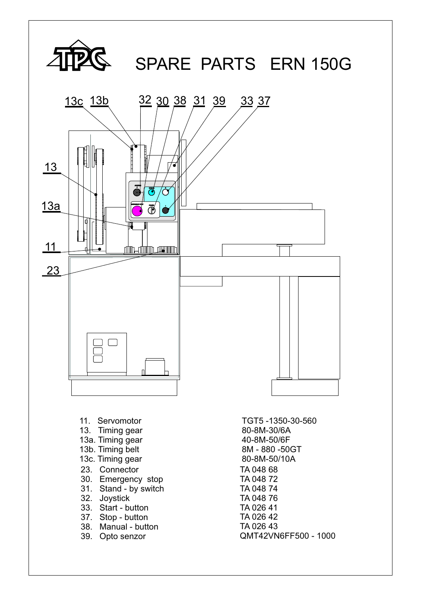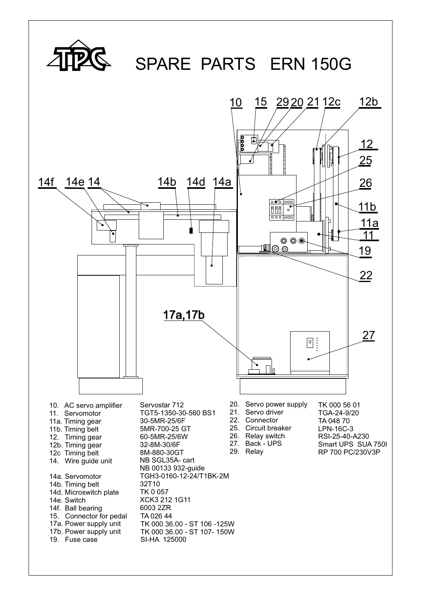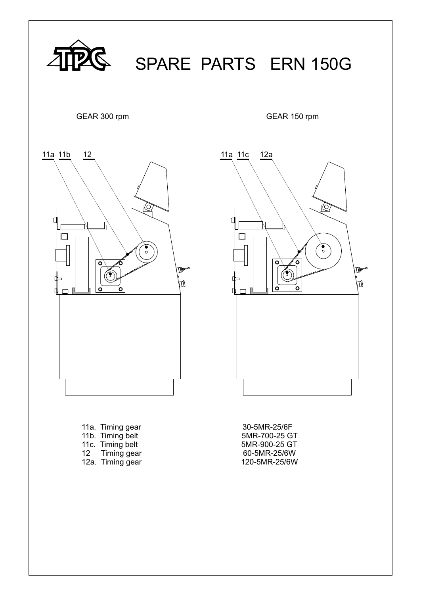